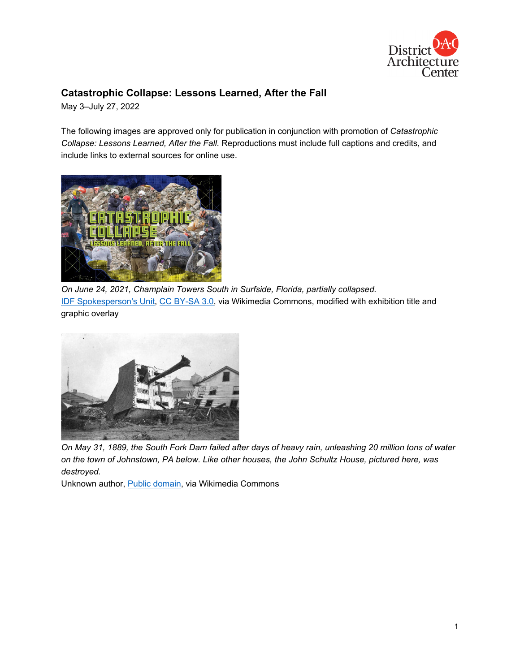

## **Catastrophic Collapse: Lessons Learned, After the Fall**

May 3–July 27, 2022

The following images are approved only for publication in conjunction with promotion of *Catastrophic Collapse: Lessons Learned, After the Fall*. Reproductions must include full captions and credits, and include links to external sources for online use.



*On June 24, 2021, Champlain Towers South in Surfside, Florida, partially collapsed.* [IDF Spokesperson's Unit,](https://commons.wikimedia.org/wiki/File:IDF_Aid_Mission_to_Surfside_condominium_building_collapse,_June_2021._III.jpg) [CC BY-SA 3.0,](https://creativecommons.org/licenses/by-sa/3.0/) via Wikimedia Commons, modified with exhibition title and graphic overlay



*On May 31, 1889, the South Fork Dam failed after days of heavy rain, unleashing 20 million tons of water on the town of Johnstown, PA below. Like other houses, the John Schultz House, pictured here, was destroyed.*

Unknown author, [Public domain,](https://commons.wikimedia.org/wiki/File:Johnstown_Tree_in_House.jpg) via Wikimedia Commons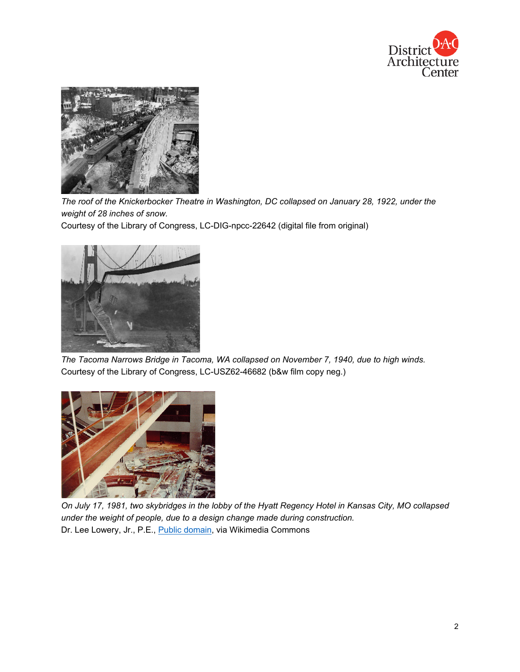



*The roof of the Knickerbocker Theatre in Washington, DC collapsed on January 28, 1922, under the weight of 28 inches of snow.*

Courtesy of the Library of Congress, LC-DIG-npcc-22642 (digital file from original)



*The Tacoma Narrows Bridge in Tacoma, WA collapsed on November 7, 1940, due to high winds.* Courtesy of the Library of Congress, LC-USZ62-46682 (b&w film copy neg.)



*On July 17, 1981, two skybridges in the lobby of the Hyatt Regency Hotel in Kansas City, MO collapsed under the weight of people, due to a design change made during construction.* Dr. Lee Lowery, Jr., P.E., [Public domain,](https://commons.wikimedia.org/wiki/File:Hyatt_Kansas_City_Collapse.gif) via Wikimedia Commons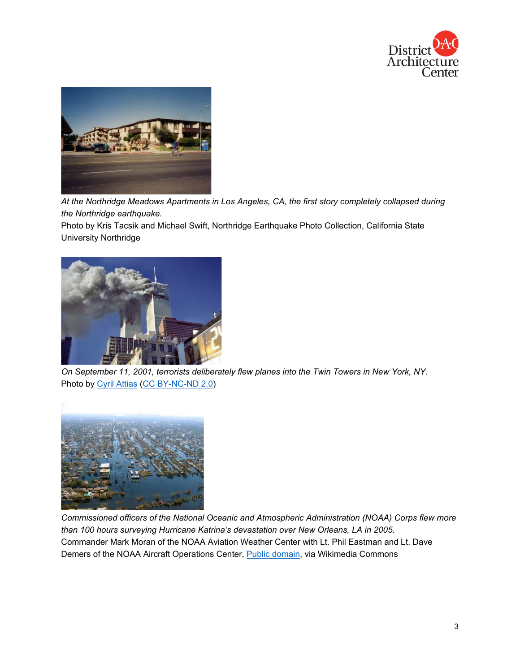



*At the Northridge Meadows Apartments in Los Angeles, CA, the first story completely collapsed during the Northridge earthquake.*

Photo by Kris Tacsik and Michael Swift, Northridge Earthquake Photo Collection, California State University Northridge



*On September 11, 2001, terrorists deliberately flew planes into the Twin Towers in New York, NY.* Photo by [Cyril Attias](https://www.flickr.com/photos/58891361@N00/6113249083) [\(CC BY-NC-ND 2.0\)](https://creativecommons.org/licenses/by-nc-nd/2.0/)



*Commissioned officers of the National Oceanic and Atmospheric Administration (NOAA) Corps flew more than 100 hours surveying Hurricane Katrina's devastation over New Orleans, LA in 2005.* Commander Mark Moran of the NOAA Aviation Weather Center with Lt. Phil Eastman and Lt. Dave Demers of the NOAA Aircraft Operations Center, **Public domain**, via Wikimedia Commons